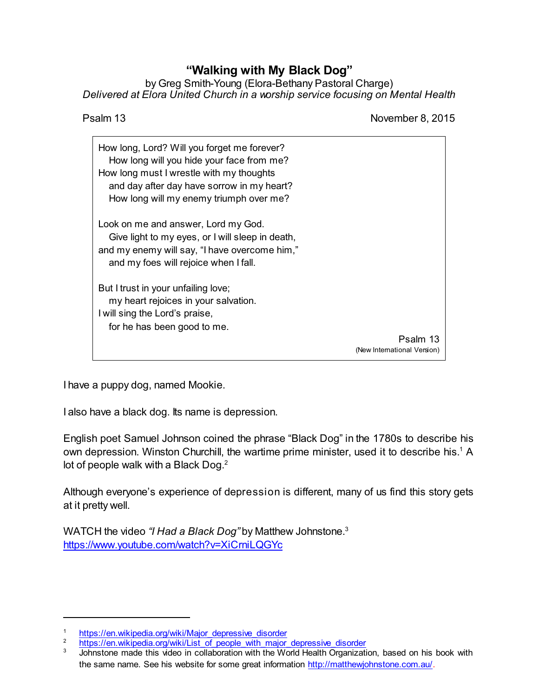## **"Walking with My Black Dog"**

by Greg Smith-Young (Elora-Bethany Pastoral Charge) *Delivered at Elora United Church in a worship service focusing on Mental Health*

Psalm 13 November 8, 2015

| How long, Lord? Will you forget me forever?<br>How long will you hide your face from me?<br>How long must I wrestle with my thoughts<br>and day after day have sorrow in my heart?<br>How long will my enemy triumph over me? |                                         |
|-------------------------------------------------------------------------------------------------------------------------------------------------------------------------------------------------------------------------------|-----------------------------------------|
| Look on me and answer, Lord my God.<br>Give light to my eyes, or I will sleep in death,<br>and my enemy will say, "I have overcome him,"<br>and my foes will rejoice when I fall.                                             |                                         |
| But I trust in your unfailing love;<br>my heart rejoices in your salvation.<br>I will sing the Lord's praise,<br>for he has been good to me.                                                                                  | Psalm 13<br>(New International Version) |

I have a puppy dog, named Mookie.

I also have a black dog. Its name is depression.

English poet Samuel Johnson coined the phrase "Black Dog" in the 1780s to describe his own depression. Winston Churchill, the wartime prime minister, used it to describe his.<sup>1</sup> A lot of people walk with a Black Dog.<sup>2</sup>

Although everyone's experience of depression is different, many of us find this story gets at it pretty well.

WATCH the video *"I Had a Black Dog"* by Matthew Johnstone.<sup>3</sup> <https://www.youtube.com/watch?v=XiCrniLQGYc>

<sup>1</sup> [https://en.wikipedia.org/wiki/Major\\_depressive\\_disorder](https://en.wikipedia.org/wiki/Major_depressive_disorder)<br>2 https://en.wikipedia.org/wiki/List\_of\_people\_with\_major

<sup>&</sup>lt;sup>2</sup> [https://en.wikipedia.org/wiki/List\\_of\\_people\\_with\\_major\\_depressive\\_disorder](https://en.wikipedia.org/wiki/List_of_people_with_major_depressive_disorder)

Johnstone made this video in collaboration with the World Health Organization, based on his book with the same name. See his website for some great information <http://matthewjohnstone.com.au/>.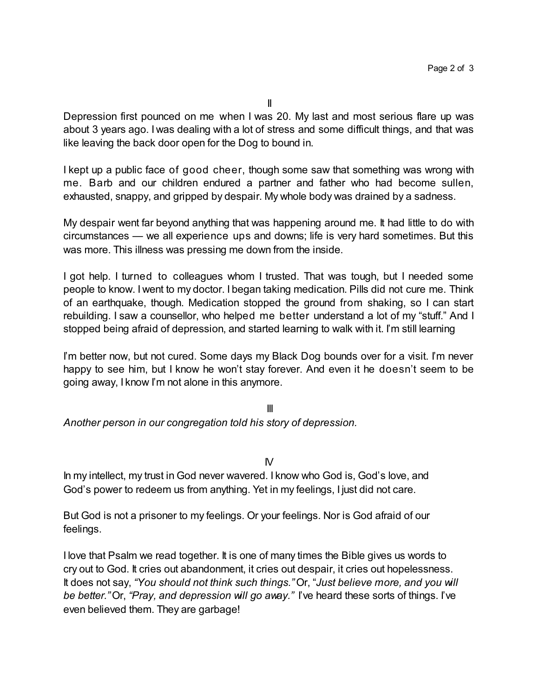Depression first pounced on me when I was 20. My last and most serious flare up was about 3 years ago. I was dealing with a lot of stress and some difficult things, and that was like leaving the back door open for the Dog to bound in.

I kept up a public face of good cheer, though some saw that something was wrong with me. Barb and our children endured a partner and father who had become sullen, exhausted, snappy, and gripped by despair. My whole body was drained by a sadness.

My despair went far beyond anything that was happening around me. It had little to do with circumstances — we all experience ups and downs; life is very hard sometimes. But this was more. This illness was pressing me down from the inside.

I got help. I turned to colleagues whom I trusted. That was tough, but I needed some people to know. I went to my doctor. I began taking medication. Pills did not cure me. Think of an earthquake, though. Medication stopped the ground from shaking, so I can start rebuilding. I saw a counsellor, who helped me better understand a lot of my "stuff." And I stopped being afraid of depression, and started learning to walk with it. I'm still learning

I'm better now, but not cured. Some days my Black Dog bounds over for a visit. I'm never happy to see him, but I know he won't stay forever. And even it he doesn't seem to be going away, I know I'm not alone in this anymore.

III *Another person in our congregation told his story of depression.*

 $N$ 

In my intellect, my trust in God never wavered. I know who God is, God's love, and God's power to redeem us from anything. Yet in my feelings, I just did not care.

But God is not a prisoner to my feelings. Or your feelings. Nor is God afraid of our feelings.

I love that Psalm we read together. It is one of many times the Bible gives us words to cry out to God. It cries out abandonment, it cries out despair, it cries out hopelessness. It does not say, *"You should not think such things."* Or, "*Just believe more, and you will be better."* Or, *"Pray, and depression will go away."* I've heard these sorts of things. I've even believed them. They are garbage!